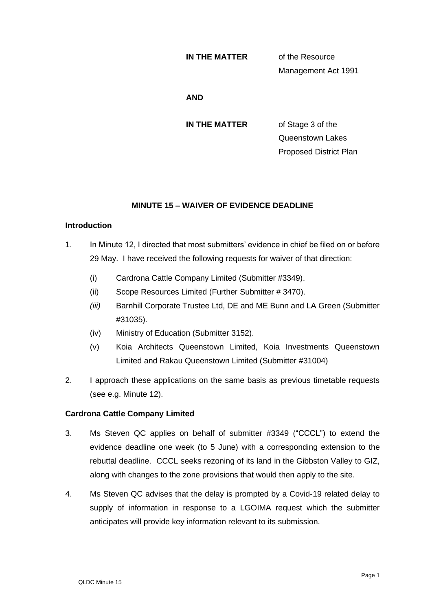#### **IN THE MATTER** of the Resource

Management Act 1991

#### **AND**

**IN THE MATTER** of Stage 3 of the Queenstown Lakes Proposed District Plan

## **MINUTE 15 – WAIVER OF EVIDENCE DEADLINE**

## **Introduction**

- 1. In Minute 12, I directed that most submitters' evidence in chief be filed on or before 29 May. I have received the following requests for waiver of that direction:
	- (i) Cardrona Cattle Company Limited (Submitter #3349).
	- (ii) Scope Resources Limited (Further Submitter # 3470).
	- *(iii)* Barnhill Corporate Trustee Ltd, DE and ME Bunn and LA Green (Submitter #31035)*.*
	- (iv) Ministry of Education (Submitter 3152).
	- (v) Koia Architects Queenstown Limited, Koia Investments Queenstown Limited and Rakau Queenstown Limited (Submitter #31004)
- 2. I approach these applications on the same basis as previous timetable requests (see e.g. Minute 12).

## **Cardrona Cattle Company Limited**

- 3. Ms Steven QC applies on behalf of submitter #3349 ("CCCL") to extend the evidence deadline one week (to 5 June) with a corresponding extension to the rebuttal deadline. CCCL seeks rezoning of its land in the Gibbston Valley to GIZ, along with changes to the zone provisions that would then apply to the site.
- 4. Ms Steven QC advises that the delay is prompted by a Covid-19 related delay to supply of information in response to a LGOIMA request which the submitter anticipates will provide key information relevant to its submission.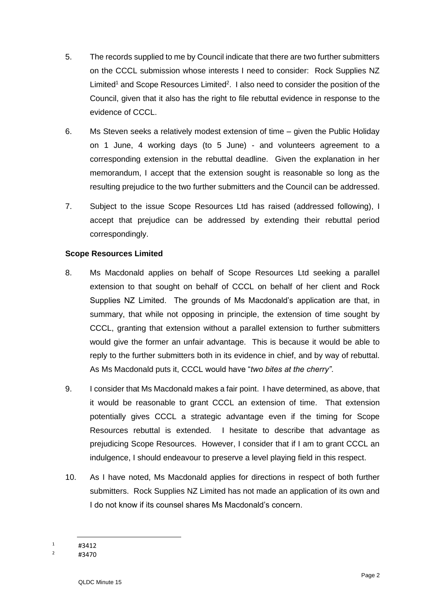- 5. The records supplied to me by Council indicate that there are two further submitters on the CCCL submission whose interests I need to consider: Rock Supplies NZ Limited<sup>1</sup> and Scope Resources Limited<sup>2</sup>. I also need to consider the position of the Council, given that it also has the right to file rebuttal evidence in response to the evidence of CCCL.
- 6. Ms Steven seeks a relatively modest extension of time given the Public Holiday on 1 June, 4 working days (to 5 June) - and volunteers agreement to a corresponding extension in the rebuttal deadline. Given the explanation in her memorandum, I accept that the extension sought is reasonable so long as the resulting prejudice to the two further submitters and the Council can be addressed.
- 7. Subject to the issue Scope Resources Ltd has raised (addressed following), I accept that prejudice can be addressed by extending their rebuttal period correspondingly.

## **Scope Resources Limited**

- 8. Ms Macdonald applies on behalf of Scope Resources Ltd seeking a parallel extension to that sought on behalf of CCCL on behalf of her client and Rock Supplies NZ Limited. The grounds of Ms Macdonald's application are that, in summary, that while not opposing in principle, the extension of time sought by CCCL, granting that extension without a parallel extension to further submitters would give the former an unfair advantage. This is because it would be able to reply to the further submitters both in its evidence in chief, and by way of rebuttal. As Ms Macdonald puts it, CCCL would have "*two bites at the cherry"*.
- 9. I consider that Ms Macdonald makes a fair point. I have determined, as above, that it would be reasonable to grant CCCL an extension of time. That extension potentially gives CCCL a strategic advantage even if the timing for Scope Resources rebuttal is extended. I hesitate to describe that advantage as prejudicing Scope Resources. However, I consider that if I am to grant CCCL an indulgence, I should endeavour to preserve a level playing field in this respect.
- 10. As I have noted, Ms Macdonald applies for directions in respect of both further submitters. Rock Supplies NZ Limited has not made an application of its own and I do not know if its counsel shares Ms Macdonald's concern.

 $\frac{1}{2}$  #3412

<sup>#3470</sup>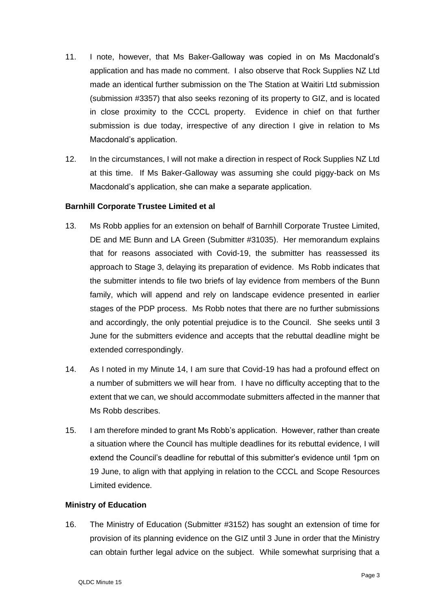- 11. I note, however, that Ms Baker-Galloway was copied in on Ms Macdonald's application and has made no comment. I also observe that Rock Supplies NZ Ltd made an identical further submission on the The Station at Waitiri Ltd submission (submission #3357) that also seeks rezoning of its property to GIZ, and is located in close proximity to the CCCL property. Evidence in chief on that further submission is due today, irrespective of any direction I give in relation to Ms Macdonald's application.
- 12. In the circumstances, I will not make a direction in respect of Rock Supplies NZ Ltd at this time. If Ms Baker-Galloway was assuming she could piggy-back on Ms Macdonald's application, she can make a separate application.

#### **Barnhill Corporate Trustee Limited et al**

- 13. Ms Robb applies for an extension on behalf of Barnhill Corporate Trustee Limited, DE and ME Bunn and LA Green (Submitter #31035). Her memorandum explains that for reasons associated with Covid-19, the submitter has reassessed its approach to Stage 3, delaying its preparation of evidence. Ms Robb indicates that the submitter intends to file two briefs of lay evidence from members of the Bunn family, which will append and rely on landscape evidence presented in earlier stages of the PDP process. Ms Robb notes that there are no further submissions and accordingly, the only potential prejudice is to the Council. She seeks until 3 June for the submitters evidence and accepts that the rebuttal deadline might be extended correspondingly.
- 14. As I noted in my Minute 14, I am sure that Covid-19 has had a profound effect on a number of submitters we will hear from. I have no difficulty accepting that to the extent that we can, we should accommodate submitters affected in the manner that Ms Robb describes.
- 15. I am therefore minded to grant Ms Robb's application. However, rather than create a situation where the Council has multiple deadlines for its rebuttal evidence, I will extend the Council's deadline for rebuttal of this submitter's evidence until 1pm on 19 June, to align with that applying in relation to the CCCL and Scope Resources Limited evidence.

#### **Ministry of Education**

16. The Ministry of Education (Submitter #3152) has sought an extension of time for provision of its planning evidence on the GIZ until 3 June in order that the Ministry can obtain further legal advice on the subject. While somewhat surprising that a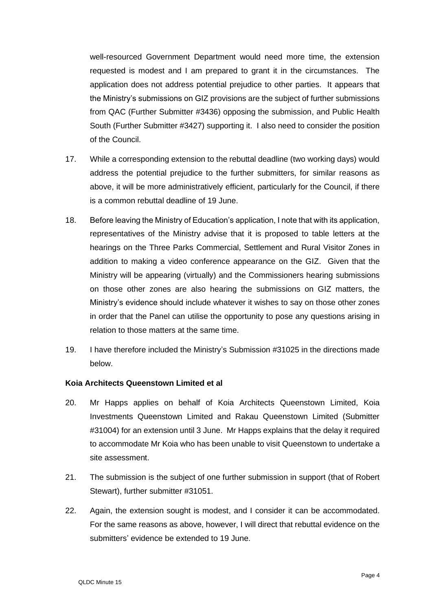well-resourced Government Department would need more time, the extension requested is modest and I am prepared to grant it in the circumstances. The application does not address potential prejudice to other parties. It appears that the Ministry's submissions on GIZ provisions are the subject of further submissions from QAC (Further Submitter #3436) opposing the submission, and Public Health South (Further Submitter #3427) supporting it. I also need to consider the position of the Council.

- 17. While a corresponding extension to the rebuttal deadline (two working days) would address the potential prejudice to the further submitters, for similar reasons as above, it will be more administratively efficient, particularly for the Council, if there is a common rebuttal deadline of 19 June.
- 18. Before leaving the Ministry of Education's application, I note that with its application, representatives of the Ministry advise that it is proposed to table letters at the hearings on the Three Parks Commercial, Settlement and Rural Visitor Zones in addition to making a video conference appearance on the GIZ. Given that the Ministry will be appearing (virtually) and the Commissioners hearing submissions on those other zones are also hearing the submissions on GIZ matters, the Ministry's evidence should include whatever it wishes to say on those other zones in order that the Panel can utilise the opportunity to pose any questions arising in relation to those matters at the same time.
- 19. I have therefore included the Ministry's Submission #31025 in the directions made below.

## **Koia Architects Queenstown Limited et al**

- 20. Mr Happs applies on behalf of Koia Architects Queenstown Limited, Koia Investments Queenstown Limited and Rakau Queenstown Limited (Submitter #31004) for an extension until 3 June. Mr Happs explains that the delay it required to accommodate Mr Koia who has been unable to visit Queenstown to undertake a site assessment.
- 21. The submission is the subject of one further submission in support (that of Robert Stewart), further submitter #31051.
- 22. Again, the extension sought is modest, and I consider it can be accommodated. For the same reasons as above, however, I will direct that rebuttal evidence on the submitters' evidence be extended to 19 June.